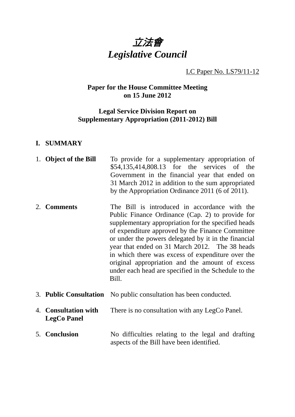

LC Paper No. LS79/11-12

# **Paper for the House Committee Meeting on 15 June 2012**

## **Legal Service Division Report on Supplementary Appropriation (2011-2012) Bill**

#### **I. SUMMARY**

| 1. Object of the Bill                      | To provide for a supplementary appropriation of<br>\$54,135,414,808.13 for the services of the<br>Government in the financial year that ended on<br>31 March 2012 in addition to the sum appropriated<br>by the Appropriation Ordinance 2011 (6 of 2011).                                                                                                                                                                                                                                       |
|--------------------------------------------|-------------------------------------------------------------------------------------------------------------------------------------------------------------------------------------------------------------------------------------------------------------------------------------------------------------------------------------------------------------------------------------------------------------------------------------------------------------------------------------------------|
| 2. Comments                                | The Bill is introduced in accordance with the<br>Public Finance Ordinance (Cap. 2) to provide for<br>supplementary appropriation for the specified heads<br>of expenditure approved by the Finance Committee<br>or under the powers delegated by it in the financial<br>year that ended on 31 March 2012. The 38 heads<br>in which there was excess of expenditure over the<br>original appropriation and the amount of excess<br>under each head are specified in the Schedule to the<br>Bill. |
|                                            | 3. Public Consultation No public consultation has been conducted.                                                                                                                                                                                                                                                                                                                                                                                                                               |
| 4. Consultation with<br><b>LegCo Panel</b> | There is no consultation with any LegCo Panel.                                                                                                                                                                                                                                                                                                                                                                                                                                                  |
| 5. Conclusion                              | No difficulties relating to the legal and drafting<br>aspects of the Bill have been identified.                                                                                                                                                                                                                                                                                                                                                                                                 |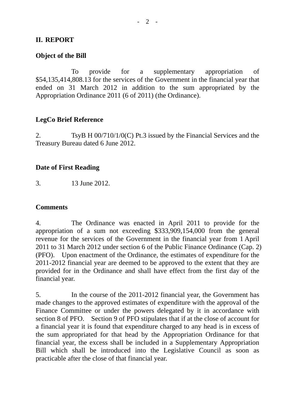### **II. REPORT**

### **Object of the Bill**

 To provide for a supplementary appropriation of \$54,135,414,808.13 for the services of the Government in the financial year that ended on 31 March 2012 in addition to the sum appropriated by the Appropriation Ordinance 2011 (6 of 2011) (the Ordinance).

## **LegCo Brief Reference**

2. TsyB H 00/710/1/0(C) Pt.3 issued by the Financial Services and the Treasury Bureau dated 6 June 2012.

### **Date of First Reading**

3. 13 June 2012.

#### **Comments**

4. The Ordinance was enacted in April 2011 to provide for the appropriation of a sum not exceeding \$333,909,154,000 from the general revenue for the services of the Government in the financial year from 1 April 2011 to 31 March 2012 under section 6 of the Public Finance Ordinance (Cap. 2) (PFO). Upon enactment of the Ordinance, the estimates of expenditure for the 2011-2012 financial year are deemed to be approved to the extent that they are provided for in the Ordinance and shall have effect from the first day of the financial year.

5. In the course of the 2011-2012 financial year, the Government has made changes to the approved estimates of expenditure with the approval of the Finance Committee or under the powers delegated by it in accordance with section 8 of PFO. Section 9 of PFO stipulates that if at the close of account for a financial year it is found that expenditure charged to any head is in excess of the sum appropriated for that head by the Appropriation Ordinance for that financial year, the excess shall be included in a Supplementary Appropriation Bill which shall be introduced into the Legislative Council as soon as practicable after the close of that financial year.